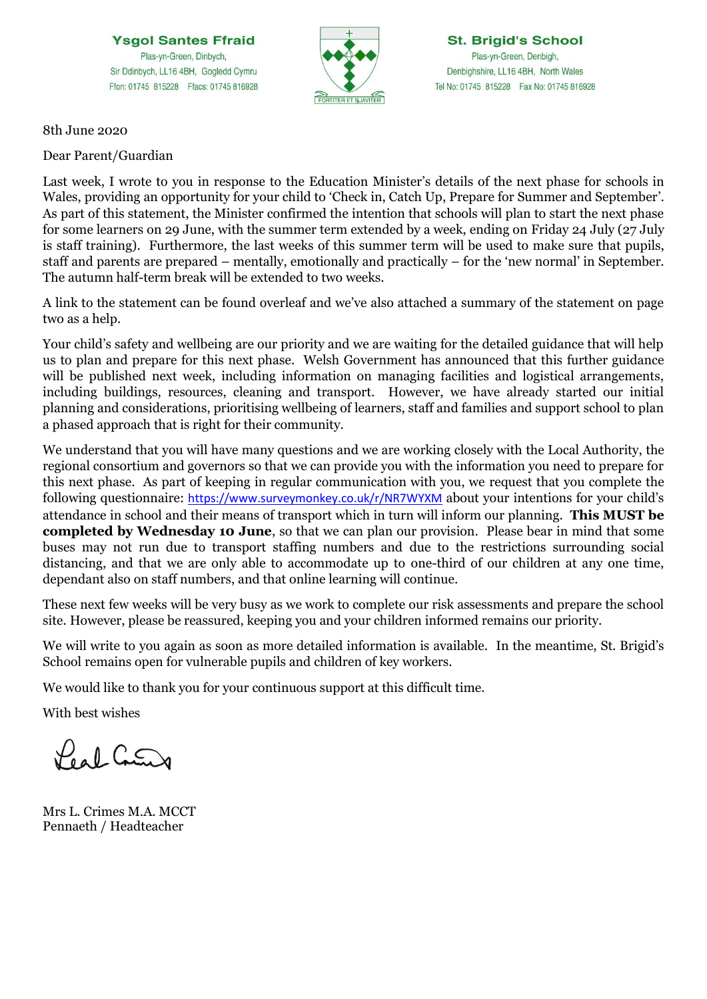**Ysgol Santes Ffraid** Plas-yn-Green, Dinbych, Sir Ddinbych, LL16 4BH, Gogledd Cymru Ffon: 01745 815228 Ffacs: 01745 816928



**St. Brigid's School** Plas-yn-Green, Denbigh, Denbighshire, LL16 4BH, North Wales Tel No: 01745 815228 Fax No: 01745 816928

8th June 2020

Dear Parent/Guardian

Last week, I wrote to you in response to the Education Minister's details of the next phase for schools in Wales, providing an opportunity for your child to 'Check in, Catch Up, Prepare for Summer and September'. As part of this statement, the Minister confirmed the intention that schools will plan to start the next phase for some learners on 29 June, with the summer term extended by a week, ending on Friday 24 July (27 July is staff training). Furthermore, the last weeks of this summer term will be used to make sure that pupils, staff and parents are prepared – mentally, emotionally and practically – for the 'new normal' in September. The autumn half-term break will be extended to two weeks.

A link to the statement can be found overleaf and we've also attached a summary of the statement on page two as a help.

Your child's safety and wellbeing are our priority and we are waiting for the detailed guidance that will help us to plan and prepare for this next phase. Welsh Government has announced that this further guidance will be published next week, including information on managing facilities and logistical arrangements, including buildings, resources, cleaning and transport. However, we have already started our initial planning and considerations, prioritising wellbeing of learners, staff and families and support school to plan a phased approach that is right for their community.

We understand that you will have many questions and we are working closely with the Local Authority, the regional consortium and governors so that we can provide you with the information you need to prepare for this next phase. As part of keeping in regular communication with you, we request that you complete the following questionnaire: [https://www.surveymonkey.co.uk/r/NR7WYXM](https://eur02.safelinks.protection.outlook.com/?url=https%3A%2F%2Fwww.surveymonkey.co.uk%2Fr%2FNR7WYXM&data=02%7C01%7CCrimesL8%40hwbcymru.net%7Cd140d62eaa3b4d9208e708d80b9177f9%7C4f3f0e52b734416494091b601d147993%7C0%7C0%7C637272066862253083&sdata=TUtLD8S1WHEFMDy%2FhwEHGeQ8VxCRoRDw8oTrMqm%2BBUE%3D&reserved=0) about your intentions for your child's attendance in school and their means of transport which in turn will inform our planning. **This MUST be completed by Wednesday 10 June**, so that we can plan our provision. Please bear in mind that some buses may not run due to transport staffing numbers and due to the restrictions surrounding social distancing, and that we are only able to accommodate up to one-third of our children at any one time, dependant also on staff numbers, and that online learning will continue.

These next few weeks will be very busy as we work to complete our risk assessments and prepare the school site. However, please be reassured, keeping you and your children informed remains our priority.

We will write to you again as soon as more detailed information is available. In the meantime, St. Brigid's School remains open for vulnerable pupils and children of key workers.

We would like to thank you for your continuous support at this difficult time.

With best wishes

Peal Count

Mrs L. Crimes M.A. MCCT Pennaeth / Headteacher